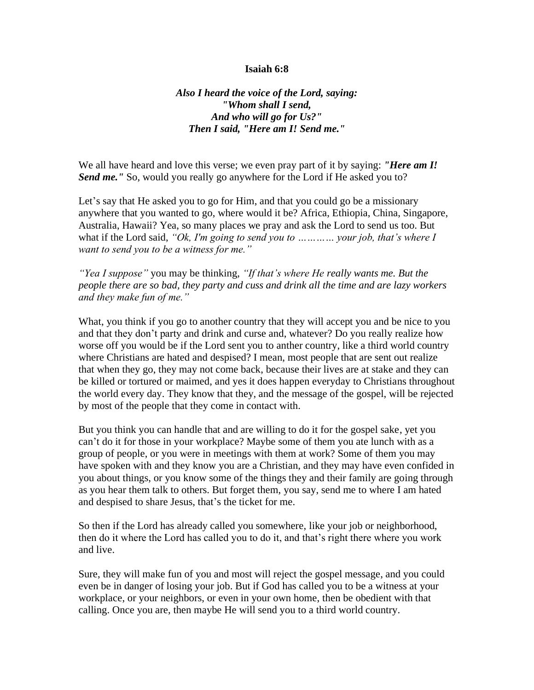## **Isaiah 6:8**

*Also I heard the voice of the Lord, saying: "Whom shall I send, And who will go for Us?" Then I said, "Here am I! Send me."*

We all have heard and love this verse; we even pray part of it by saying: *"Here am I! Send me."* So, would you really go anywhere for the Lord if He asked you to?

Let's say that He asked you to go for Him, and that you could go be a missionary anywhere that you wanted to go, where would it be? Africa, Ethiopia, China, Singapore, Australia, Hawaii? Yea, so many places we pray and ask the Lord to send us too. But what if the Lord said, *"Ok, I'm going to send you to ………… your job, that's where I want to send you to be a witness for me."*

*"Yea I suppose"* you may be thinking, *"If that's where He really wants me. But the people there are so bad, they party and cuss and drink all the time and are lazy workers and they make fun of me."*

What, you think if you go to another country that they will accept you and be nice to you and that they don't party and drink and curse and, whatever? Do you really realize how worse off you would be if the Lord sent you to anther country, like a third world country where Christians are hated and despised? I mean, most people that are sent out realize that when they go, they may not come back, because their lives are at stake and they can be killed or tortured or maimed, and yes it does happen everyday to Christians throughout the world every day. They know that they, and the message of the gospel, will be rejected by most of the people that they come in contact with.

But you think you can handle that and are willing to do it for the gospel sake, yet you can't do it for those in your workplace? Maybe some of them you ate lunch with as a group of people, or you were in meetings with them at work? Some of them you may have spoken with and they know you are a Christian, and they may have even confided in you about things, or you know some of the things they and their family are going through as you hear them talk to others. But forget them, you say, send me to where I am hated and despised to share Jesus, that's the ticket for me.

So then if the Lord has already called you somewhere, like your job or neighborhood, then do it where the Lord has called you to do it, and that's right there where you work and live.

Sure, they will make fun of you and most will reject the gospel message, and you could even be in danger of losing your job. But if God has called you to be a witness at your workplace, or your neighbors, or even in your own home, then be obedient with that calling. Once you are, then maybe He will send you to a third world country.